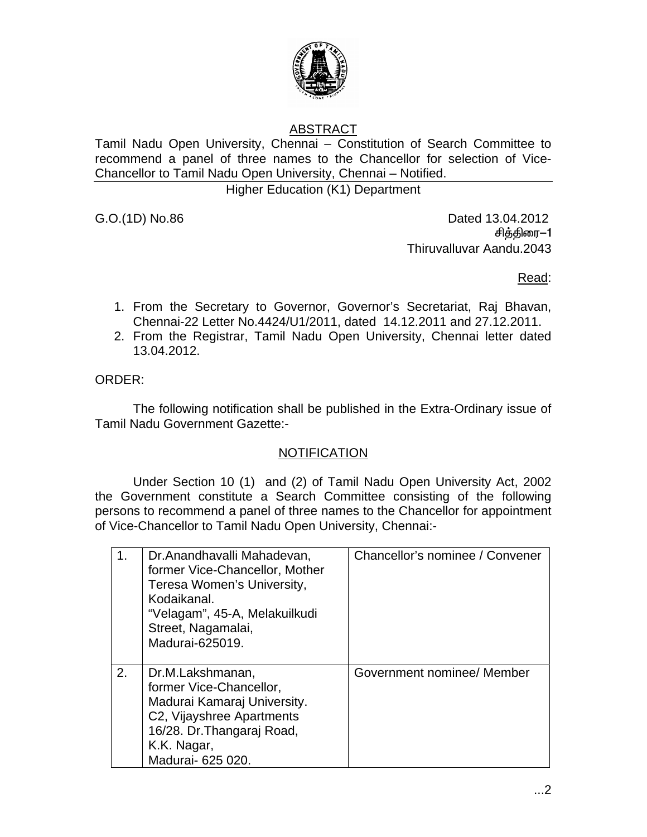

## ABSTRACT

Tamil Nadu Open University, Chennai – Constitution of Search Committee to recommend a panel of three names to the Chancellor for selection of Vice-Chancellor to Tamil Nadu Open University, Chennai – Notified.

Higher Education (K1) Department

G.O.(1D) No.86 **Dated 13.04.2012** சித்திரை—1 Thiruvalluvar Aandu.2043

<u>Read: Album and Album and Album and Album and Album and Album and Album and Album and Album and Album and Albu</u>

- 1. From the Secretary to Governor, Governor's Secretariat, Raj Bhavan, Chennai-22 Letter No.4424/U1/2011, dated 14.12.2011 and 27.12.2011.
- 2. From the Registrar, Tamil Nadu Open University, Chennai letter dated 13.04.2012.

ORDER:

 The following notification shall be published in the Extra-Ordinary issue of Tamil Nadu Government Gazette:-

## **NOTIFICATION**

 Under Section 10 (1) and (2) of Tamil Nadu Open University Act, 2002 the Government constitute a Search Committee consisting of the following persons to recommend a panel of three names to the Chancellor for appointment of Vice-Chancellor to Tamil Nadu Open University, Chennai:-

|    | Dr.Anandhavalli Mahadevan,<br>former Vice-Chancellor, Mother<br>Teresa Women's University,<br>Kodaikanal.<br>"Velagam", 45-A, Melakuilkudi<br>Street, Nagamalai,<br>Madurai-625019. | Chancellor's nominee / Convener |
|----|-------------------------------------------------------------------------------------------------------------------------------------------------------------------------------------|---------------------------------|
| 2. | Dr.M.Lakshmanan,<br>former Vice-Chancellor,<br>Madurai Kamaraj University.<br>C2, Vijayshree Apartments<br>16/28. Dr. Thangaraj Road,<br>K.K. Nagar,<br>Madurai- 625 020.           | Government nominee/ Member      |